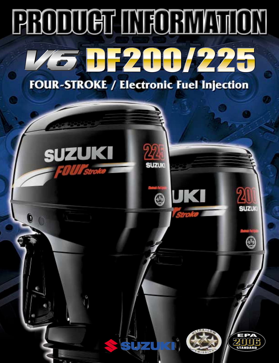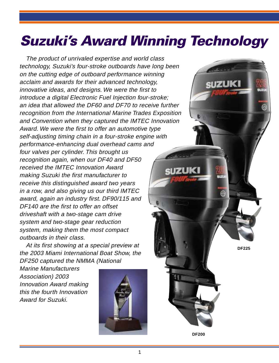# **Suzuki's Award Winning Technology**

The product of unrivaled expertise and world class technology, Suzuki's four-stroke outboards have long been on the cutting edge of outboard performance winning acclaim and awards for their advanced technology, innovative ideas, and designs. We were the first to introduce a digital Electronic Fuel Injection four-stroke; an idea that allowed the DF60 and DF70 to receive further recognition from the International Marine Trades Exposition and Convention when they captured the IMTEC Innovation Award. We were the first to offer an automotive type self-adjusting timing chain in a four-stroke engine with performance-enhancing dual overhead cams and four valves per cylinder. This brought us recognition again, when our DF40 and DF50 received the IMTEC Innovation Award a izuk making Suzuki the first manufacturer to receive this distinguished award two years in a row, and also giving us our third IMTEC award, again an industry first. DF90/115 and DF140 are the first to offer an offset driveshaft with a two-stage cam drive system and two-stage gear reduction system, making them the most compact outboards in their class.

At its first showing at a special preview at the 2003 Miami International Boat Show, the DF250 captured the NMMA (National

Marine Manufacturers Association) 2003 Innovation Award making this the fourth Innovation Award for Suzuki.



**DF225**

**DF200**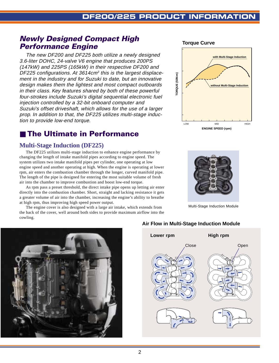**TORQUE (50N•m)**

ORQUE (50N-m)

# **Newly Designed Compact High Performance Engine**

The new DF200 and DF225 both utilize a newly designed 3.6-liter DOHC, 24-valve V6 engine that produces 200PS (147kW) and 225PS (165kW) in their respective DF200 and DF225 configurations. At  $3614 \text{cm}^3$  this is the largest displacement in the industry and for Suzuki to date, but an innovative design makes them the lightest and most compact outboards in their class. Key features shared by both of these powerful four-strokes include Suzuki's digital sequential electronic fuel injection controlled by a 32-bit onboard computer and Suzuki's offset driveshaft, which allows for the use of a larger prop. In addition to that, the DF225 utilizes multi-stage induction to provide low-end torque.

# ■ The Ultimate in Performance

## **Multi-Stage Induction (DF225)**

The DF225 utilizes multi-stage induction to enhance engine performance by changing the length of intake manifold pipes according to engine speed. The system utilizes two intake manifold pipes per cylinder, one operating at low engine speed and another operating at high. When the engine is operating at lower rpm, air enters the combustion chamber through the longer, curved manifold pipe. The length of the pipe is designed for entering the most suitable volume of fresh air into the chamber to improve combustion and boost low-end torque.

As rpm pass a preset threshold, the direct intake pipe opens up letting air enter directly into the combustion chamber. Short, straight and lacking resistance it gets a greater volume of air into the chamber, increasing the engine's ability to breathe at high rpm, thus improving high speed power output.

The engine cover is also designed with a large air intake, which extends from the back of the cover, well around both sides to provide maximum airflow into the cowling.



**ENGINE SPEED (rpm)**

**without Multi-Stage Induction**

**with Multi-Stage Induction**

HIGH

LOW MID

**Torque Curve**

Multi-Stage Induction Module



#### **Air Flow in Multi-Stage Induction Module**

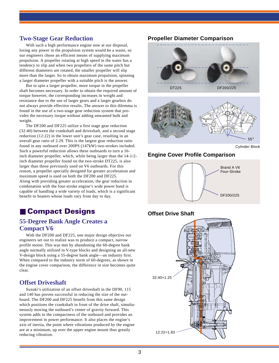#### **Two-Stage Gear Reduction**

With such a high performance engine now at our disposal, losing any power in the propulsion system would be a waste, so our engineers chose an efficient means of supplying maximum propulsion. A propeller rotating at high speed in the water has a tendency to slip and when two propellers of the same pitch but different diameters are rotated, the smaller propeller will slip more than the larger. So to obtain maximum propulsion, spinning a larger diameter propeller with a suitable pitch is the answer.

But to spin a larger propeller, more torque in the propeller shaft becomes necessary. In order to obtain the required amount of torque however, the corresponding increases in weight and resistance due to the use of larger gears and a larger gearbox do not always provide effective results. The answer to this dilemma is found in the use of a two-stage gear reduction system that provides the necessary torque without adding unwanted bulk and weight.

The DF200 and DF225 utilize a first stage gear reduction (32:40) between the crankshaft and driveshaft, and a second stage reduction (12:22) in the lower unit's gear case, resulting in an overall gear ratio of 2.29. This is the largest gear reduction ratio found in any outboard over 200PS (147kW) two-strokes included. Such a powerful reduction allows these outboards to turn a 16 inch diameter propeller, which, while being larger than the 14-1/2 inch diameter propeller found on the two-stroke DT225, is also larger than those previously used on V6 outboards. For this reason, a propeller specially designed for greater acceleration and maximum speed is used on both the DF200 and DF225. Along with providing greater acceleration, the gear reduction in combination with the four-stroke engine's wide power band is capable of handling a wide variety of loads, which is a significant benefit to boaters whose loads vary from day to day.

# ■ **Compact Designs**

## **55-Degree Bank Angle Creates a Compact V6**

With the DF200 and DF225, one major design objective our engineers set out to realize was to produce a compact, narrow profile motor. This was met by abandoning the 60-degree bank angle normally utilized in V-type blocks and designing an all-new V-design block using a 55-degree bank angle—an industry first. When compared to the industry norm of 60-degrees, as shown in the engine cover comparison, the difference in size becomes quite clear.

#### **Offset Driveshaft**

Suzuki's utilization of an offset driveshaft in the DF90, 115 and 140 has proven successful in reducing the size of the outboard. The DF200 and DF225 benefit from this same design which positions the crankshaft in front of the drive shaft, simultaneously moving the outboard's center of gravity forward. This system adds to the compactness of the outboard and provides an improvement in power performance. It also places the engine's axis of inertia, the point where vibrations produced by the engine are at a minimum, up over the upper engine mount thus greatly reducing vibration.

#### **Propeller Diameter Comparison**



DT225 DF200/225



Cylinder Block

#### **Engine Cover Profile Comparison**



#### **Offset Drive Shaft**

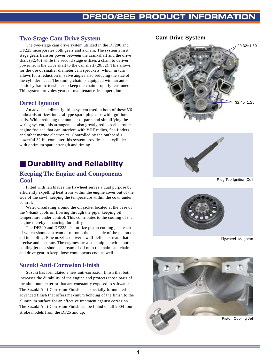#### **Two-Stage Cam Drive System**

The two-stage cam drive system utilized in the DF200 and DF225 incorporates both gears and a chain. The system's first stage gears transfer power between the crankshaft and the drive shaft (32:40) while the second stage utilizes a chain to deliver power from the drive shaft to the camshaft (20:32). This allows for the use of smaller diameter cam sprockets, which in turn allows for a reduction in valve angles also reducing the size of the cylinder head. The timing chain is equipped with an automatic hydraulic tensioner to keep the chain properly tensioned. This system provides years of maintenance-free operation.

#### **Direct Ignition**

An advanced direct ignition system used in both of these V6 outboards utilizes integral type spark plug caps with ignition coils. While reducing the number of parts and simplifying the wiring system, this arrangement also greatly reduces electronic engine "noise" that can interfere with VHF radios, fish finders and other marine electronics. Controlled by the outboard's powerful 32-bit computer this system provides each cylinder with optimum spark strength and timing.

# ■ Durability and Reliability

#### **Keeping The Engine and Components Cool**

Fitted with fan blades the flywheel serves a dual purpose by efficiently expelling heat from within the engine cover out of the side of the cowl, keeping the temperature within the cowl under control.

Water circulating around the oil jacket located at the base of the V-bank cools oil flowing through the pipe, keeping oil temperature under control. This contributes to the cooling of the engine thereby enhancing durability.

The DF200 and DF225 also utilize piston cooling jets, each of which shoots a stream of oil onto the backside of the piston to aid in cooling. Fine nozzles deliver a well-defined stream that is precise and accurate. The engines are also equipped with another cooling jet that shoots a stream of oil onto the main cam chain and drive gear to keep those components cool as well.

# **Suzuki Anti-Corrosion Finish**

Suzuki has formulated a new anti-corrosion finish that both increases the durability of the engine and protects those parts of the aluminum exterior that are constantly exposed to saltwater. The Suzuki Anti-Corrosion Finish is an specially formulated advanced finish that offers maximum bonding of the finish to the aluminum surface for an effective treatment against corrosion. The Suzuki Anti-Corrosion Finish can be found on all 2004 fourstroke models from the DF25 and up.

#### **Cam Drive System**





Plug Top Ignition Coil



Flywheel Magneto

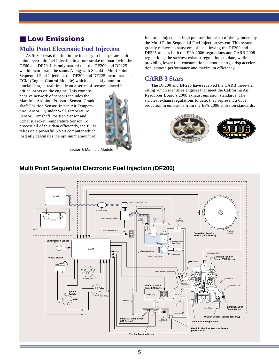# ■ Low Emissions

## **Multi Point Electronic Fuel Injection**

As Suzuki was the first in the industry to incorporate multi point electronic fuel injection in a four-stroke outboard with the DF60 and DF70, it is only natural that the DF200 and DF225 would incorporate the same. Along with Suzuki's Multi Point Sequential Fuel Injection, the DF200 and DF225 incorporate an ECM (Engine Control Module) which constantly monitors crucial data, in real time, from a series of sensors placed in

critical areas on the engine. This comprehensive network of sensors includes the Manifold Absolute Pressure Sensor, Crankshaft Position Sensor, Intake Air Temperature Sensor, Cylinder Wall Temperature Sensor, Camshaft Position Sensor and Exhaust Jacket Temperature Sensor. To process all of this data efficiently, the ECM relies on a powerful 32-bit computer which instantly calculates the optimum amount of



Injector & Manifold Module

fuel to be injected at high pressure into each of the cylinders by the Multi Point Sequential Fuel Injection system. This system greatly reduces exhaust emissions allowing the DF200 and DF225 to pass both the EPA 2006 regulations and CARB 2008 regulations, the strictest exhaust regulations to date, while providing lower fuel consumption, smooth starts, crisp acceleration, smooth performance and maximum efficiency.

# **CARB 3 Stars**

The DF200 and DF225 have received the CARB three-star rating which identifies engines that meet the California Air Resources Board's 2008 exhaust emission standards. The strictest exhaust regulations to date, they represent a 65% reduction in emissions from the EPA 2006 emission standards.



## **Multi Point Sequential Electronic Fuel Injection (DF200)**

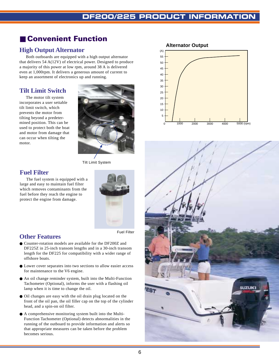# ■ **Convenient Function**

# **High Output Alternator**

Both outboards are equipped with a high output alternator that delivers 54 A(12V) of electrical power. Designed to produce a majority of this power at low rpm, around 38 A is delivered even at 1,000rpm. It delivers a generous amount of current to keep an assortment of electronics up and running.

# **Tilt Limit Switch**

The motor tilt system incorporates a user settable tilt limit switch, which prevents the motor from tilting beyond a predetermined position. This can be used to protect both the boat and motor from damage that can occur when tilting the motor.



Tilt Limit System

## **Fuel Filter**

The fuel system is equipped with a large and easy to maintain fuel filter which removes contaminants from the fuel before they reach the engine to protect the engine from damage.



# **Other Features**

- Counter-rotation models are available for the DF200Z and DF225Z in 25-inch transom lengths and in a 30-inch transom length for the DF225 for compatibility with a wider range of offshore boats.
- Lower cover separates into two sections to allow easier access for maintenance to the V6 engine.
- An oil change reminder system, built into the Multi-Function Tachometer (Optional), informs the user with a flashing oil lamp when it is time to change the oil.
- Oil changes are easy with the oil drain plug located on the front of the oil pan, the oil filler cap on the top of the cylinder head, and a spin-on oil filter.
- A comprehensive monitoring system built into the Multi-Function Tachometer (Optional) detects abnormalities in the running of the outboard to provide information and alerts so that appropriate measures can be taken before the problem becomes serious.